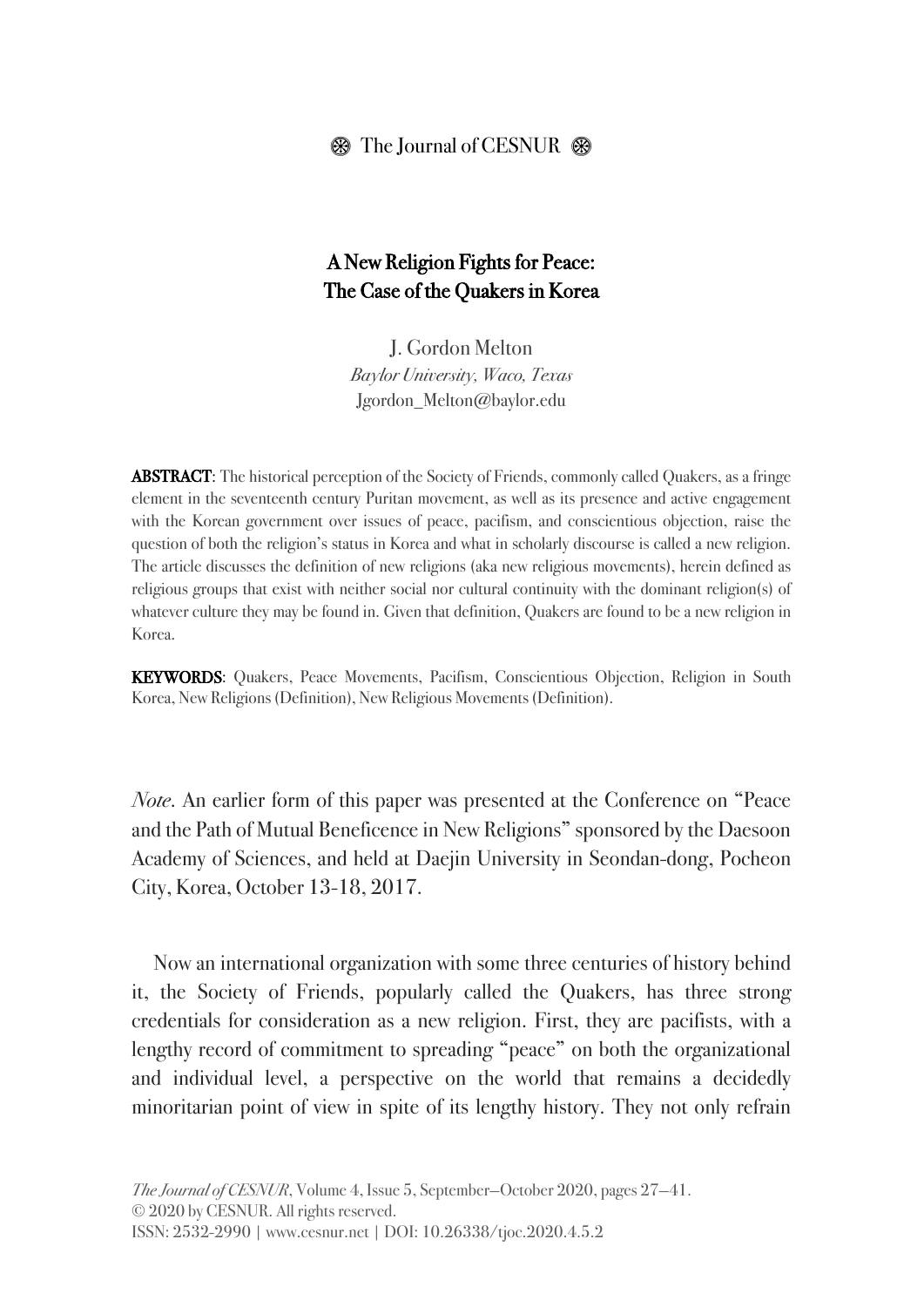## $\circledast$  The Journal of CESNUR  $\circledast$

# A New Religion Fights for Peace: The Case of the Quakers in Korea

J. Gordon Melton Baylor University, Waco, Texas Jgordon\_Melton@baylor.edu

ABSTRACT: The historical perception of the Society of Friends, commonly called Quakers, as a fringe element in the seventeenth century Puritan movement, as well as its presence and active engagement with the Korean government over issues of peace, pacifism, and conscientious objection, raise the question of both the religion's status in Korea and what in scholarly discourse is called a new religion. The article discusses the definition of new religions (aka new religious movements), herein defined as religious groups that exist with neither social nor cultural continuity with the dominant religion(s) of whatever culture they may be found in. Given that definition, Quakers are found to be a new religion in Korea.

KEYWORDS: Quakers, Peace Movements, Pacifism, Conscientious Objection, Religion in South Korea, New Religions (Definition), New Religious Movements (Definition).

*Note*. An earlier form of this paper was presented at the Conference on "Peace and the Path of Mutual Beneficence in New Religions" sponsored by the Daesoon Academy of Sciences, and held at Daejin University in Seondan-dong, Pocheon City, Korea, October 13-18, 2017.

Now an international organization with some three centuries of history behind it, the Society of Friends, popularly called the Quakers, has three strong credentials for consideration as a new religion. First, they are pacifists, with a lengthy record of commitment to spreading "peace" on both the organizational and individual level, a perspective on the world that remains a decidedly minoritarian point of view in spite of its lengthy history. They not only refrain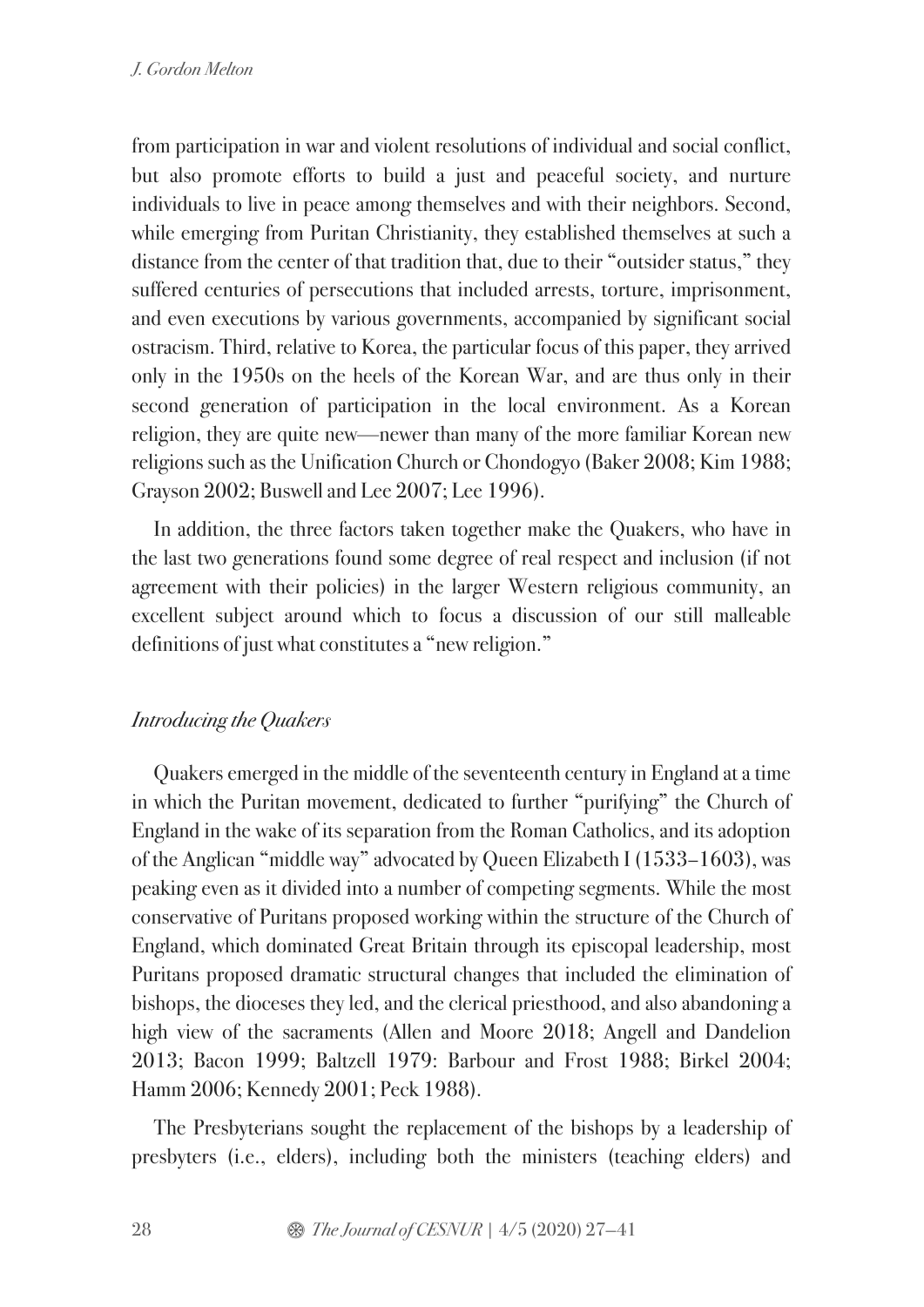from participation in war and violent resolutions of individual and social conflict, but also promote efforts to build a just and peaceful society, and nurture individuals to live in peace among themselves and with their neighbors. Second, while emerging from Puritan Christianity, they established themselves at such a distance from the center of that tradition that, due to their "outsider status," they suffered centuries of persecutions that included arrests, torture, imprisonment, and even executions by various governments, accompanied by significant social ostracism. Third, relative to Korea, the particular focus of this paper, they arrived only in the 1950s on the heels of the Korean War, and are thus only in their second generation of participation in the local environment. As a Korean religion, they are quite new—newer than many of the more familiar Korean new religions such as the Unification Church or Chondogyo (Baker 2008; Kim 1988; Grayson 2002; Buswell and Lee 2007; Lee 1996).

In addition, the three factors taken together make the Quakers, who have in the last two generations found some degree of real respect and inclusion (if not agreement with their policies) in the larger Western religious community, an excellent subject around which to focus a discussion of our still malleable definitions of just what constitutes a "new religion."

## *Introducing the Quakers*

Quakers emerged in the middle of the seventeenth century in England at a time in which the Puritan movement, dedicated to further "purifying" the Church of England in the wake of its separation from the Roman Catholics, and its adoption of the Anglican "middle way" advocated by Queen Elizabeth I (1533–1603), was peaking even as it divided into a number of competing segments. While the most conservative of Puritans proposed working within the structure of the Church of England, which dominated Great Britain through its episcopal leadership, most Puritans proposed dramatic structural changes that included the elimination of bishops, the dioceses they led, and the clerical priesthood, and also abandoning a high view of the sacraments (Allen and Moore 2018; Angell and Dandelion 2013; Bacon 1999; Baltzell 1979: Barbour and Frost 1988; Birkel 2004; Hamm 2006; Kennedy 2001; Peck 1988).

The Presbyterians sought the replacement of the bishops by a leadership of presbyters (i.e., elders), including both the ministers (teaching elders) and

28 **3** *The Journal of CESNUR* | 4/5 (2020) 27–41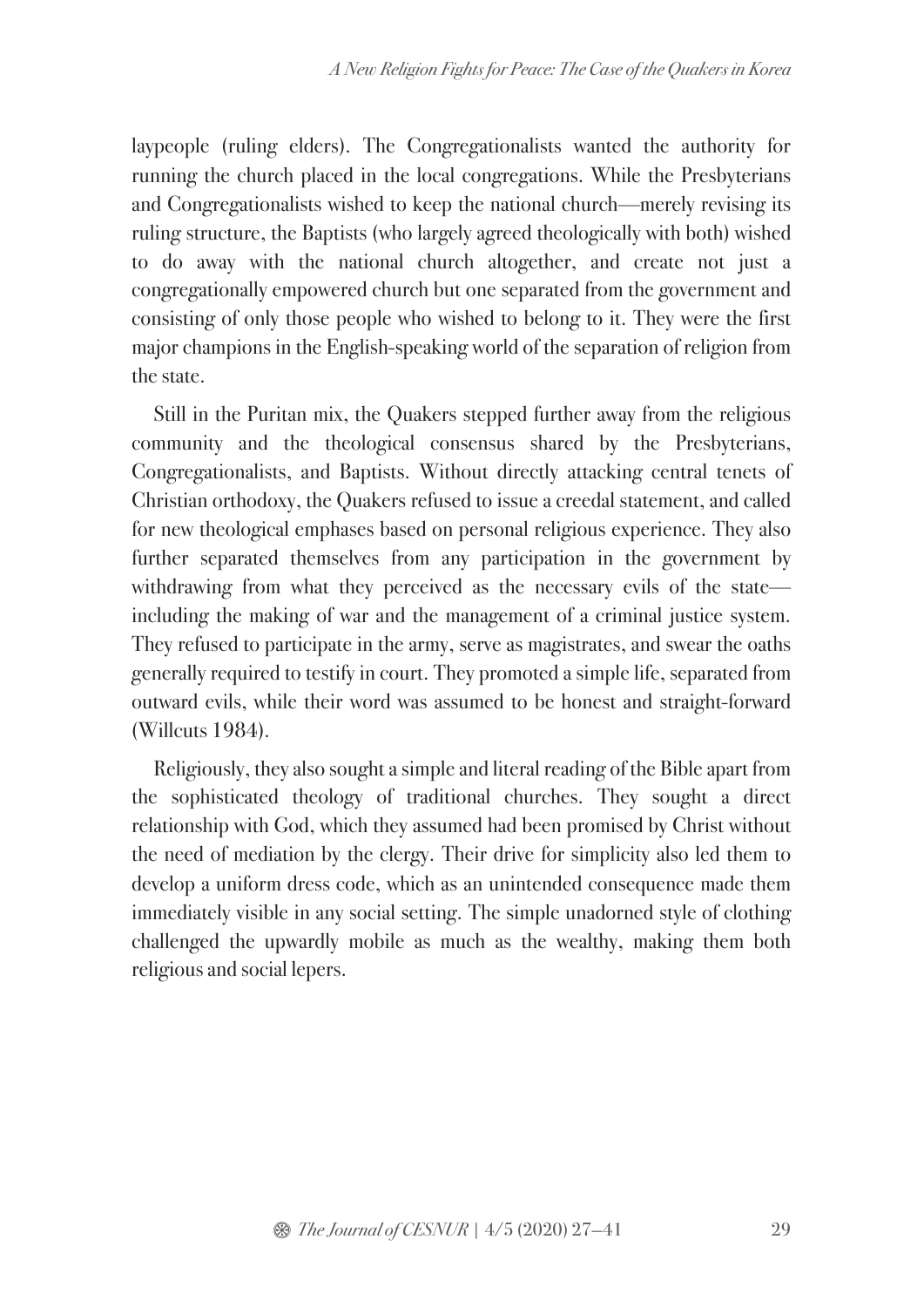laypeople (ruling elders). The Congregationalists wanted the authority for running the church placed in the local congregations. While the Presbyterians and Congregationalists wished to keep the national church—merely revising its ruling structure, the Baptists (who largely agreed theologically with both) wished to do away with the national church altogether, and create not just a congregationally empowered church but one separated from the government and consisting of only those people who wished to belong to it. They were the first major champions in the English-speaking world of the separation of religion from the state.

Still in the Puritan mix, the Quakers stepped further away from the religious community and the theological consensus shared by the Presbyterians, Congregationalists, and Baptists. Without directly attacking central tenets of Christian orthodoxy, the Quakers refused to issue a creedal statement, and called for new theological emphases based on personal religious experience. They also further separated themselves from any participation in the government by withdrawing from what they perceived as the necessary evils of the state including the making of war and the management of a criminal justice system. They refused to participate in the army, serve as magistrates, and swear the oaths generally required to testify in court. They promoted a simple life, separated from outward evils, while their word was assumed to be honest and straight-forward (Willcuts 1984).

Religiously, they also sought a simple and literal reading of the Bible apart from the sophisticated theology of traditional churches. They sought a direct relationship with God, which they assumed had been promised by Christ without the need of mediation by the clergy. Their drive for simplicity also led them to develop a uniform dress code, which as an unintended consequence made them immediately visible in any social setting. The simple unadorned style of clothing challenged the upwardly mobile as much as the wealthy, making them both religious and social lepers.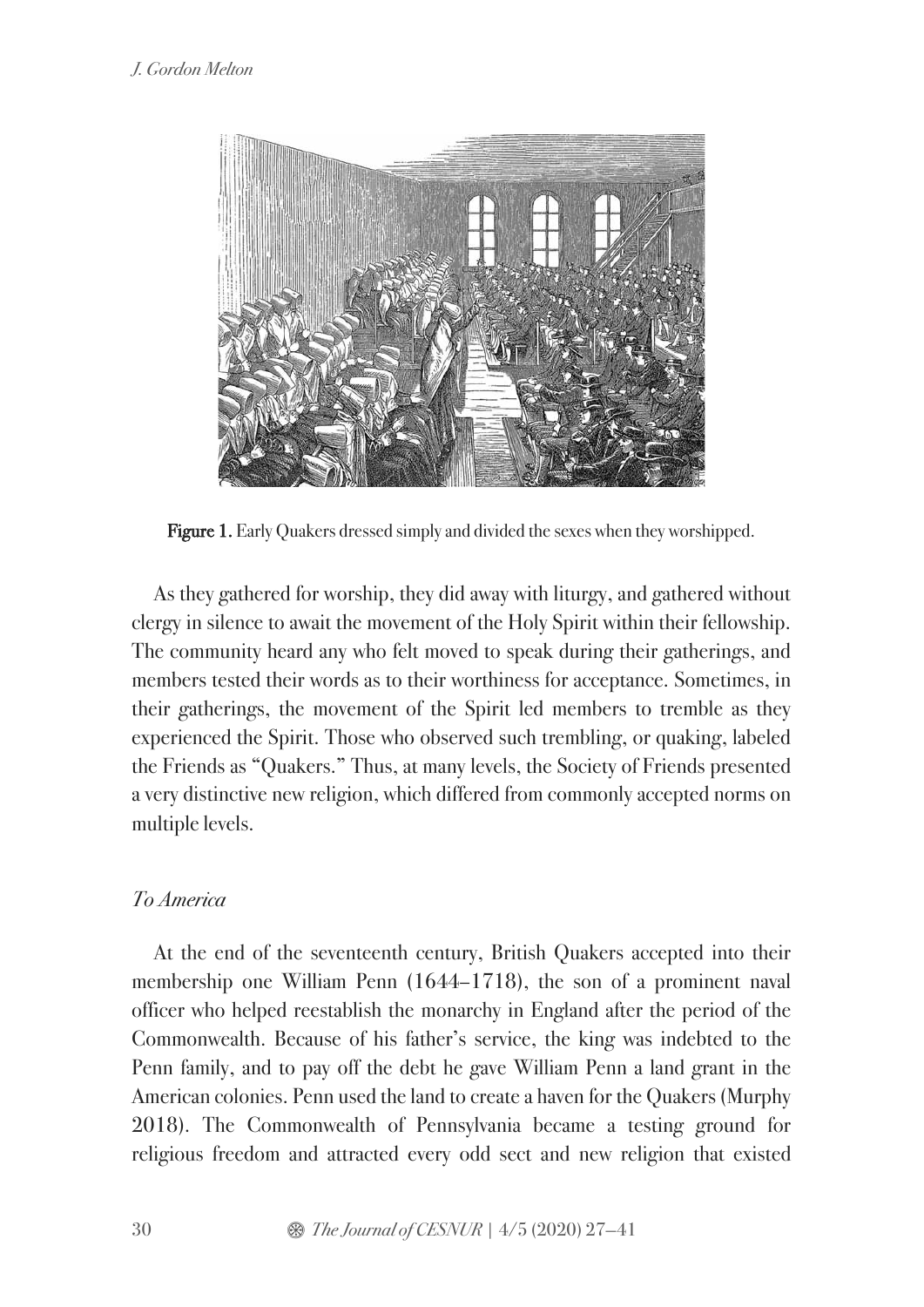

Figure 1. Early Quakers dressed simply and divided the sexes when they worshipped.

As they gathered for worship, they did away with liturgy, and gathered without clergy in silence to await the movement of the Holy Spirit within their fellowship. The community heard any who felt moved to speak during their gatherings, and members tested their words as to their worthiness for acceptance. Sometimes, in their gatherings, the movement of the Spirit led members to tremble as they experienced the Spirit. Those who observed such trembling, or quaking, labeled the Friends as "Quakers." Thus, at many levels, the Society of Friends presented a very distinctive new religion, which differed from commonly accepted norms on multiple levels.

## *To America*

At the end of the seventeenth century, British Quakers accepted into their membership one William Penn (1644–1718), the son of a prominent naval officer who helped reestablish the monarchy in England after the period of the Commonwealth. Because of his father's service, the king was indebted to the Penn family, and to pay off the debt he gave William Penn a land grant in the American colonies. Penn used the land to create a haven for the Quakers (Murphy 2018). The Commonwealth of Pennsylvania became a testing ground for religious freedom and attracted every odd sect and new religion that existed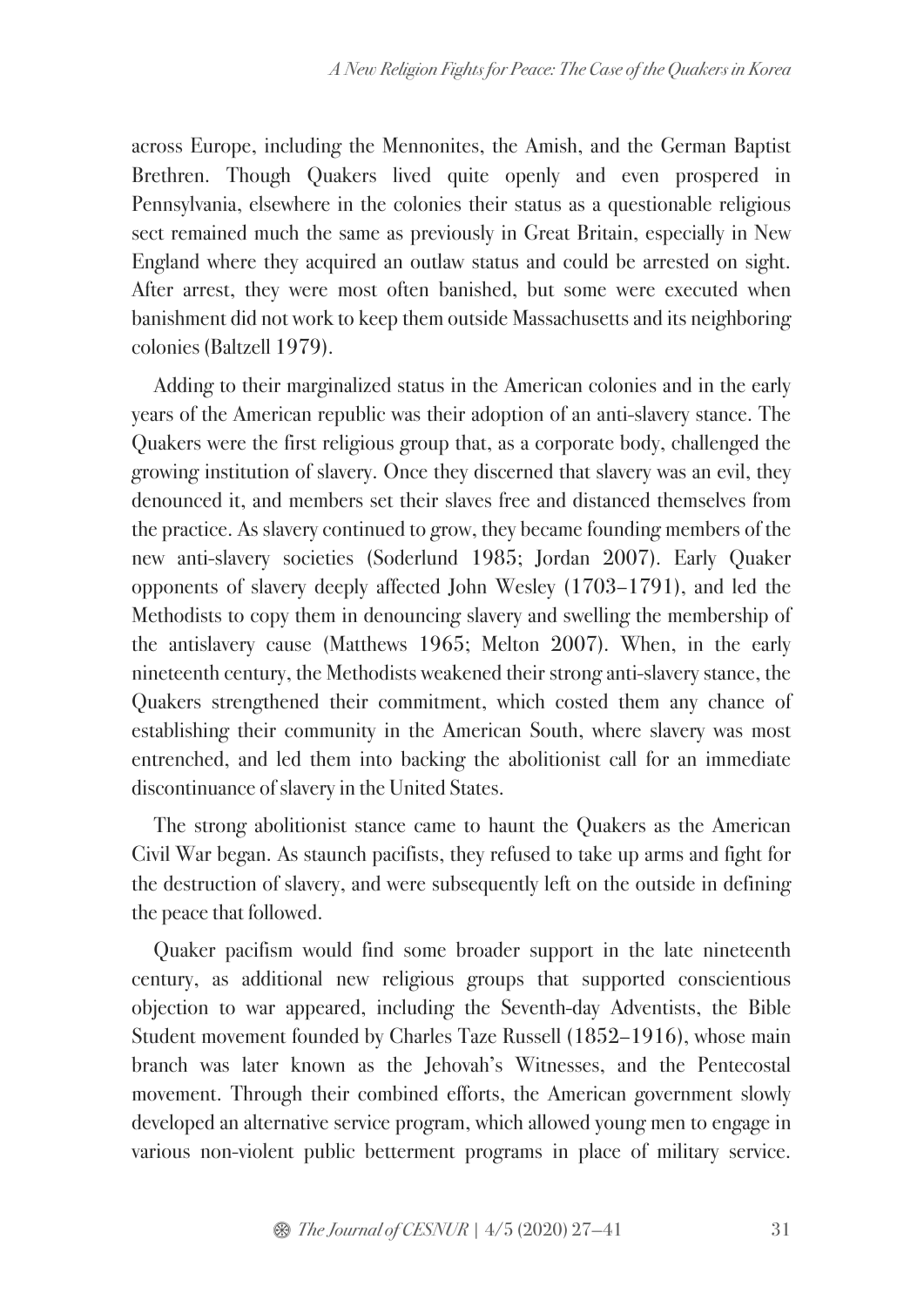across Europe, including the Mennonites, the Amish, and the German Baptist Brethren. Though Quakers lived quite openly and even prospered in Pennsylvania, elsewhere in the colonies their status as a questionable religious sect remained much the same as previously in Great Britain, especially in New England where they acquired an outlaw status and could be arrested on sight. After arrest, they were most often banished, but some were executed when banishment did not work to keep them outside Massachusetts and its neighboring colonies (Baltzell 1979).

Adding to their marginalized status in the American colonies and in the early years of the American republic was their adoption of an anti-slavery stance. The Quakers were the first religious group that, as a corporate body, challenged the growing institution of slavery. Once they discerned that slavery was an evil, they denounced it, and members set their slaves free and distanced themselves from the practice. As slavery continued to grow, they became founding members of the new anti-slavery societies (Soderlund 1985; Jordan 2007). Early Quaker opponents of slavery deeply affected John Wesley (1703–1791), and led the Methodists to copy them in denouncing slavery and swelling the membership of the antislavery cause (Matthews 1965; Melton 2007). When, in the early nineteenth century, the Methodists weakened their strong anti-slavery stance, the Quakers strengthened their commitment, which costed them any chance of establishing their community in the American South, where slavery was most entrenched, and led them into backing the abolitionist call for an immediate discontinuance of slavery in the United States.

The strong abolitionist stance came to haunt the Quakers as the American Civil War began. As staunch pacifists, they refused to take up arms and fight for the destruction of slavery, and were subsequently left on the outside in defining the peace that followed.

Quaker pacifism would find some broader support in the late nineteenth century, as additional new religious groups that supported conscientious objection to war appeared, including the Seventh-day Adventists, the Bible Student movement founded by Charles Taze Russell (1852–1916), whose main branch was later known as the Jehovah's Witnesses, and the Pentecostal movement. Through their combined efforts, the American government slowly developed an alternative service program, which allowed young men to engage in various non-violent public betterment programs in place of military service.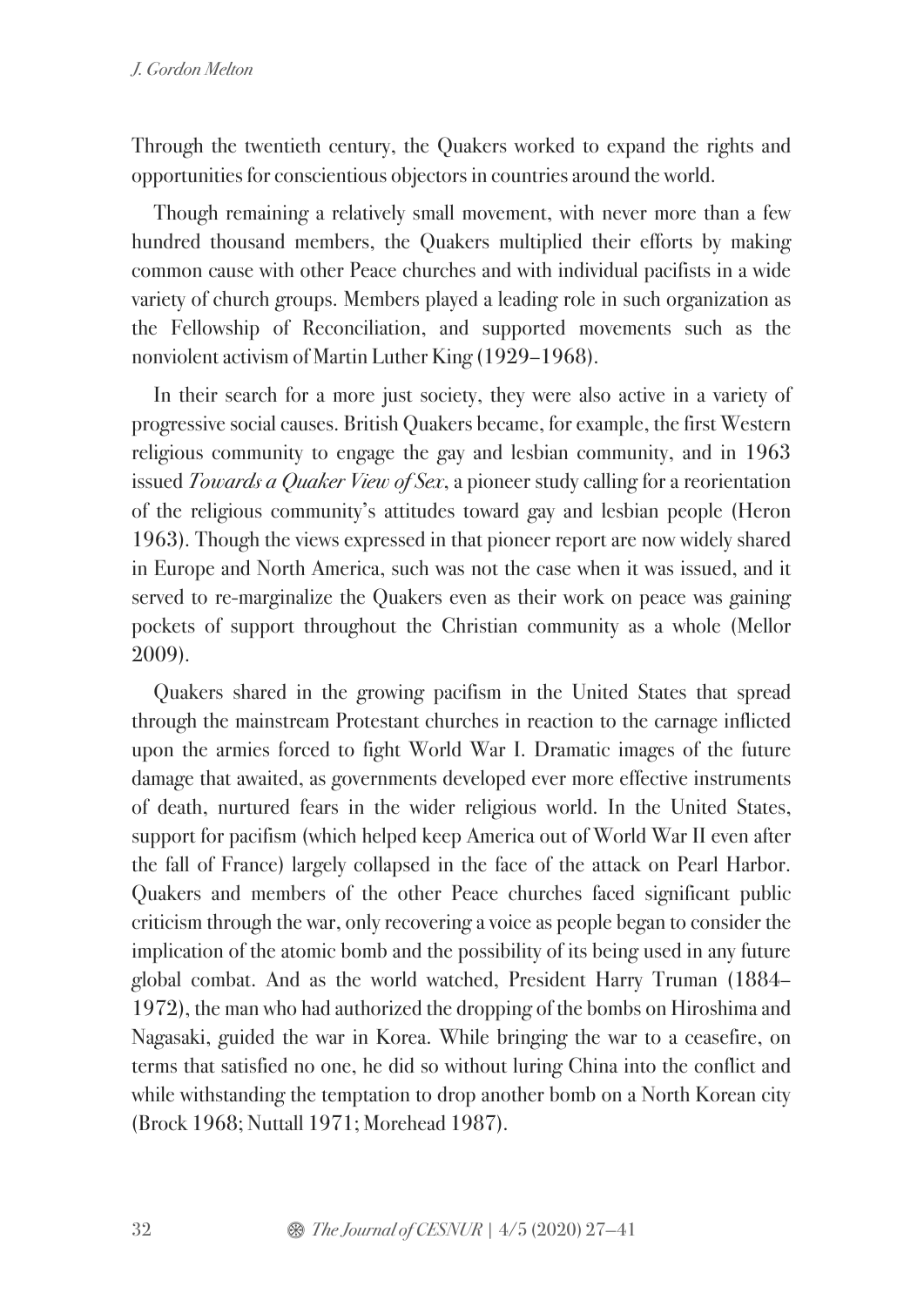Through the twentieth century, the Quakers worked to expand the rights and opportunities for conscientious objectors in countries around the world.

Though remaining a relatively small movement, with never more than a few hundred thousand members, the Quakers multiplied their efforts by making common cause with other Peace churches and with individual pacifists in a wide variety of church groups. Members played a leading role in such organization as the Fellowship of Reconciliation, and supported movements such as the nonviolent activism of Martin Luther King (1929–1968).

In their search for a more just society, they were also active in a variety of progressive social causes. British Quakers became, for example, the first Western religious community to engage the gay and lesbian community, and in 1963 issued *Towards a Quaker View of Sex*, a pioneer study calling for a reorientation of the religious community's attitudes toward gay and lesbian people (Heron 1963). Though the views expressed in that pioneer report are now widely shared in Europe and North America, such was not the case when it was issued, and it served to re-marginalize the Quakers even as their work on peace was gaining pockets of support throughout the Christian community as a whole (Mellor 2009).

Quakers shared in the growing pacifism in the United States that spread through the mainstream Protestant churches in reaction to the carnage inflicted upon the armies forced to fight World War I. Dramatic images of the future damage that awaited, as governments developed ever more effective instruments of death, nurtured fears in the wider religious world. In the United States, support for pacifism (which helped keep America out of World War II even after the fall of France) largely collapsed in the face of the attack on Pearl Harbor. Quakers and members of the other Peace churches faced significant public criticism through the war, only recovering a voice as people began to consider the implication of the atomic bomb and the possibility of its being used in any future global combat. And as the world watched, President Harry Truman (1884– 1972), the man who had authorized the dropping of the bombs on Hiroshima and Nagasaki, guided the war in Korea. While bringing the war to a ceasefire, on terms that satisfied no one, he did so without luring China into the conflict and while withstanding the temptation to drop another bomb on a North Korean city (Brock 1968; Nuttall 1971; Morehead 1987).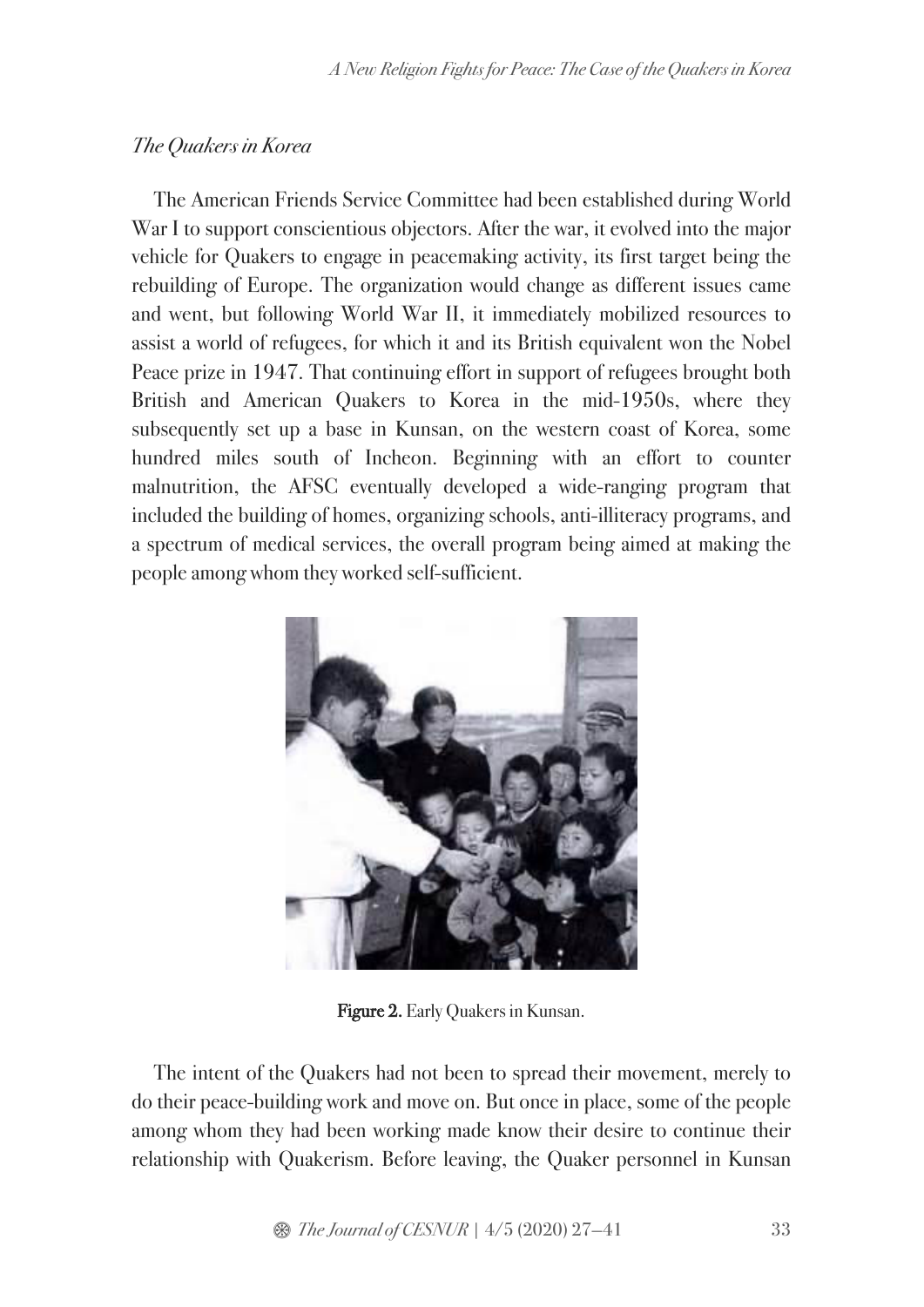# *The Quakers in Korea*

The American Friends Service Committee had been established during World War I to support conscientious objectors. After the war, it evolved into the major vehicle for Quakers to engage in peacemaking activity, its first target being the rebuilding of Europe. The organization would change as different issues came and went, but following World War II, it immediately mobilized resources to assist a world of refugees, for which it and its British equivalent won the Nobel Peace prize in 1947. That continuing effort in support of refugees brought both British and American Quakers to Korea in the mid-1950s, where they subsequently set up a base in Kunsan, on the western coast of Korea, some hundred miles south of Incheon. Beginning with an effort to counter malnutrition, the AFSC eventually developed a wide-ranging program that included the building of homes, organizing schools, anti-illiteracy programs, and a spectrum of medical services, the overall program being aimed at making the people among whom they worked self-sufficient.



Figure 2. Early Quakers in Kunsan.

The intent of the Quakers had not been to spread their movement, merely to do their peace-building work and move on. But once in place, some of the people among whom they had been working made know their desire to continue their relationship with Quakerism. Before leaving, the Quaker personnel in Kunsan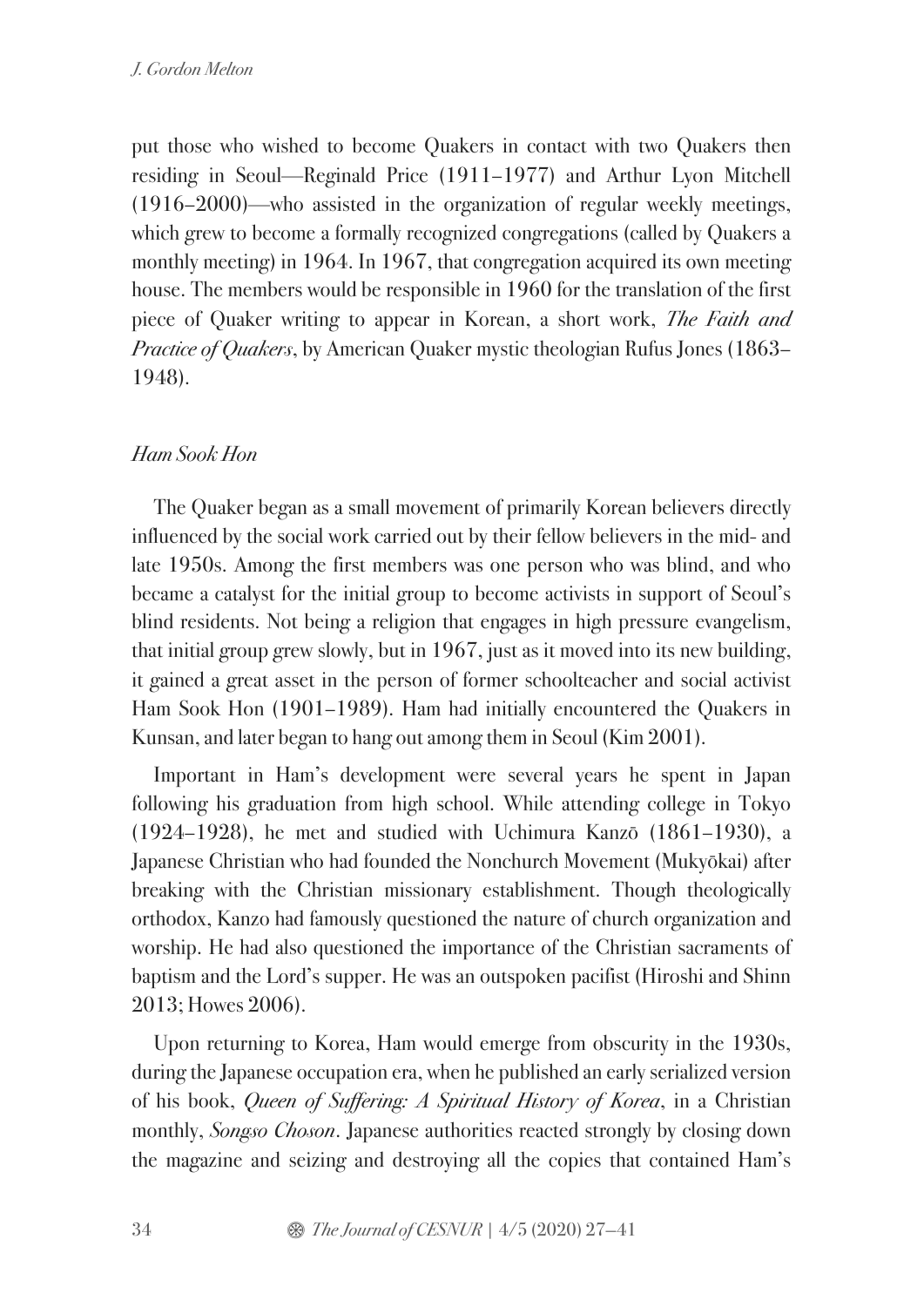put those who wished to become Quakers in contact with two Quakers then residing in Seoul—Reginald Price (1911–1977) and Arthur Lyon Mitchell (1916–2000)—who assisted in the organization of regular weekly meetings, which grew to become a formally recognized congregations (called by Quakers a monthly meeting) in 1964. In 1967, that congregation acquired its own meeting house. The members would be responsible in 1960 for the translation of the first piece of Quaker writing to appear in Korean, a short work, *The Faith and Practice of Quakers*, by American Quaker mystic theologian Rufus Jones (1863– 1948).

## *Ham Sook Hon*

The Quaker began as a small movement of primarily Korean believers directly influenced by the social work carried out by their fellow believers in the mid- and late 1950s. Among the first members was one person who was blind, and who became a catalyst for the initial group to become activists in support of Seoul's blind residents. Not being a religion that engages in high pressure evangelism, that initial group grew slowly, but in 1967, just as it moved into its new building, it gained a great asset in the person of former schoolteacher and social activist Ham Sook Hon (1901–1989). Ham had initially encountered the Quakers in Kunsan, and later began to hang out among them in Seoul (Kim 2001).

Important in Ham's development were several years he spent in Japan following his graduation from high school. While attending college in Tokyo (1924–1928), he met and studied with Uchimura Kanzō (1861–1930), a Japanese Christian who had founded the Nonchurch Movement (Mukyōkai) after breaking with the Christian missionary establishment. Though theologically orthodox, Kanzo had famously questioned the nature of church organization and worship. He had also questioned the importance of the Christian sacraments of baptism and the Lord's supper. He was an outspoken pacifist (Hiroshi and Shinn 2013; Howes 2006).

Upon returning to Korea, Ham would emerge from obscurity in the 1930s, during the Japanese occupation era, when he published an early serialized version of his book, *Queen of Suffering: A Spiritual History of Korea*, in a Christian monthly, *Songso Choson*. Japanese authorities reacted strongly by closing down the magazine and seizing and destroying all the copies that contained Ham's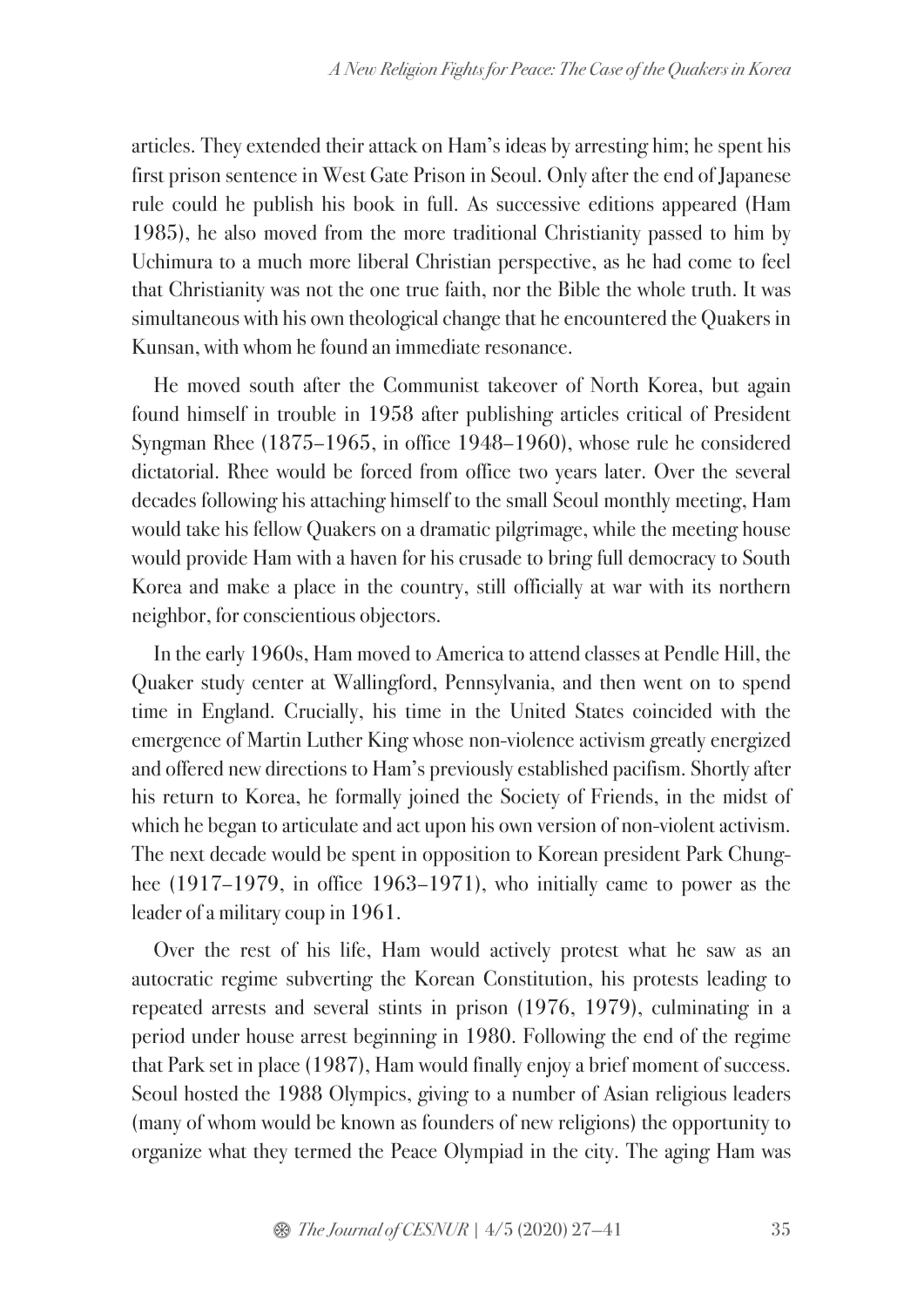articles. They extended their attack on Ham's ideas by arresting him; he spent his first prison sentence in West Gate Prison in Seoul. Only after the end of Japanese rule could he publish his book in full. As successive editions appeared (Ham 1985), he also moved from the more traditional Christianity passed to him by Uchimura to a much more liberal Christian perspective, as he had come to feel that Christianity was not the one true faith, nor the Bible the whole truth. It was simultaneous with his own theological change that he encountered the Quakers in Kunsan, with whom he found an immediate resonance.

He moved south after the Communist takeover of North Korea, but again found himself in trouble in 1958 after publishing articles critical of President Syngman Rhee (1875–1965, in office 1948–1960), whose rule he considered dictatorial. Rhee would be forced from office two years later. Over the several decades following his attaching himself to the small Seoul monthly meeting, Ham would take his fellow Quakers on a dramatic pilgrimage, while the meeting house would provide Ham with a haven for his crusade to bring full democracy to South Korea and make a place in the country, still officially at war with its northern neighbor, for conscientious objectors.

In the early 1960s, Ham moved to America to attend classes at Pendle Hill, the Quaker study center at Wallingford, Pennsylvania, and then went on to spend time in England. Crucially, his time in the United States coincided with the emergence of Martin Luther King whose non-violence activism greatly energized and offered new directions to Ham's previously established pacifism. Shortly after his return to Korea, he formally joined the Society of Friends, in the midst of which he began to articulate and act upon his own version of non-violent activism. The next decade would be spent in opposition to Korean president Park Chunghee (1917–1979, in office 1963–1971), who initially came to power as the leader of a military coup in 1961.

Over the rest of his life, Ham would actively protest what he saw as an autocratic regime subverting the Korean Constitution, his protests leading to repeated arrests and several stints in prison (1976, 1979), culminating in a period under house arrest beginning in 1980. Following the end of the regime that Park set in place (1987), Ham would finally enjoy a brief moment of success. Seoul hosted the 1988 Olympics, giving to a number of Asian religious leaders (many of whom would be known as founders of new religions) the opportunity to organize what they termed the Peace Olympiad in the city. The aging Ham was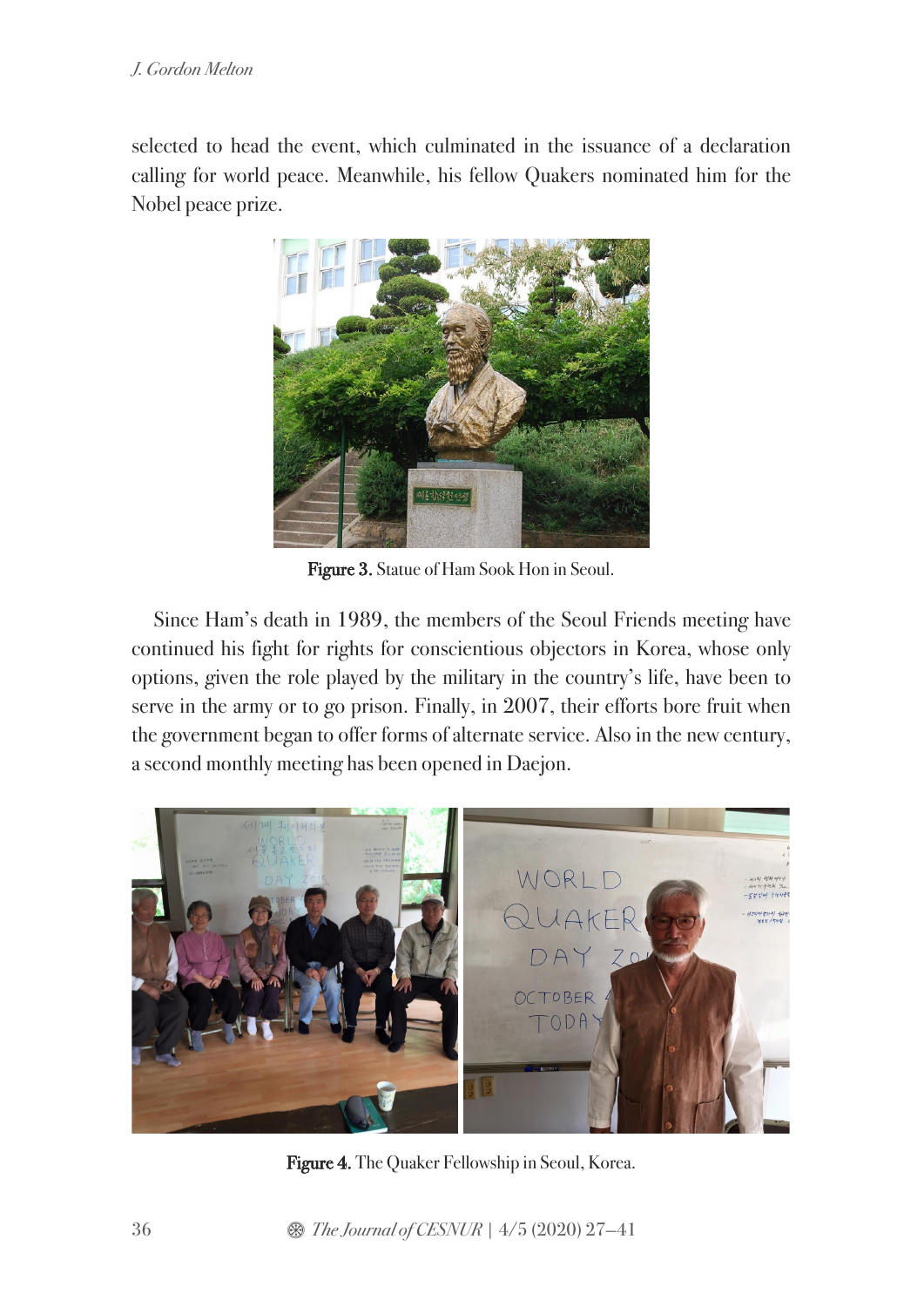selected to head the event, which culminated in the issuance of a declaration calling for world peace. Meanwhile, his fellow Quakers nominated him for the Nobel peace prize.



Figure 3. Statue of Ham Sook Hon in Seoul.

Since Ham's death in 1989, the members of the Seoul Friends meeting have continued his fight for rights for conscientious objectors in Korea, whose only options, given the role played by the military in the country's life, have been to serve in the army or to go prison. Finally, in 2007, their efforts bore fruit when the government began to offer forms of alternate service. Also in the new century, a second monthly meeting has been opened in Daejon.



Figure 4. The Quaker Fellowship in Seoul, Korea.

36 **8 The Journal of CESNUR** | 4/5 (2020) 27–41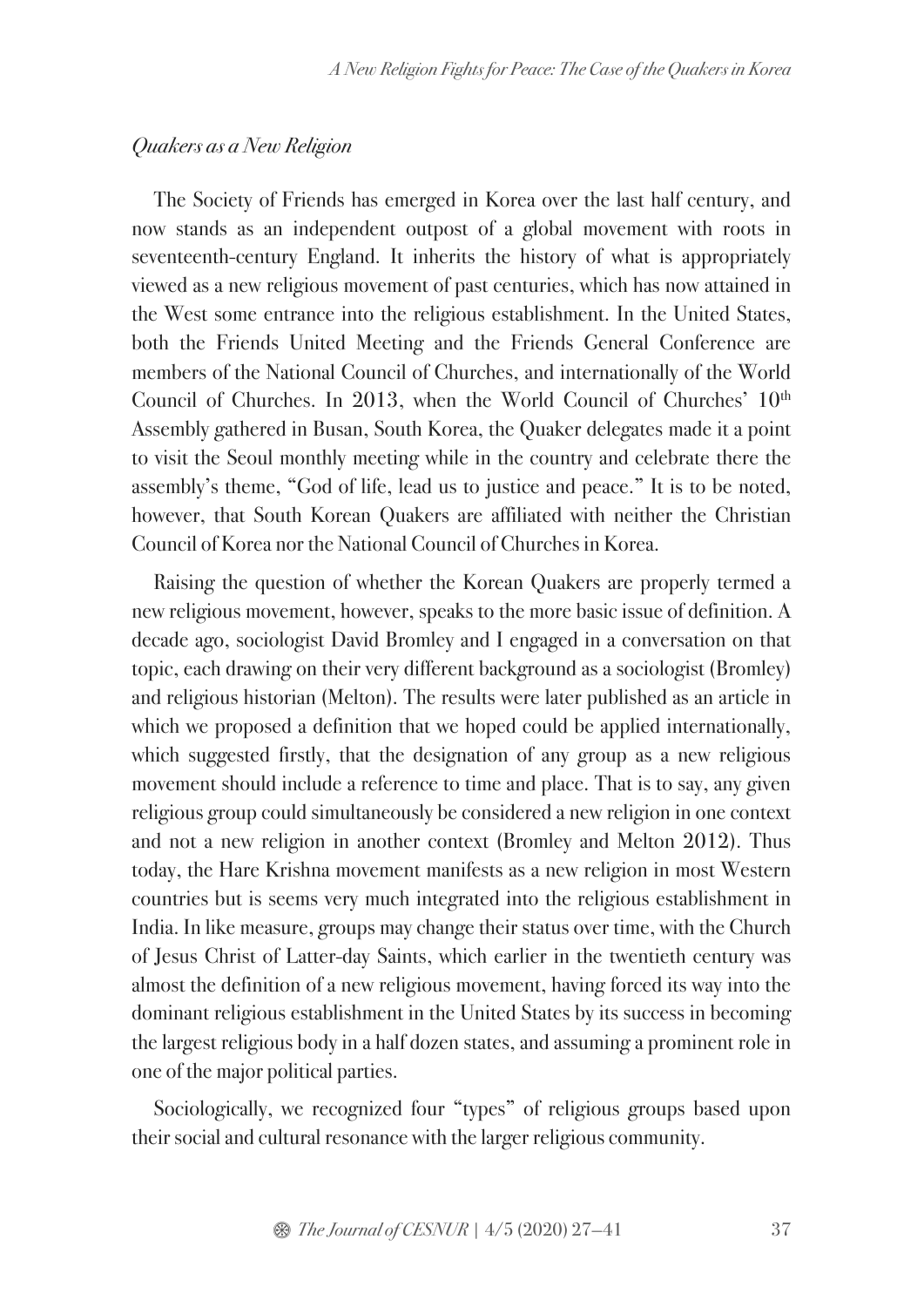#### *Quakers as a New Religion*

The Society of Friends has emerged in Korea over the last half century, and now stands as an independent outpost of a global movement with roots in seventeenth-century England. It inherits the history of what is appropriately viewed as a new religious movement of past centuries, which has now attained in the West some entrance into the religious establishment. In the United States, both the Friends United Meeting and the Friends General Conference are members of the National Council of Churches, and internationally of the World Council of Churches. In 2013, when the World Council of Churches' 10<sup>th</sup> Assembly gathered in Busan, South Korea, the Quaker delegates made it a point to visit the Seoul monthly meeting while in the country and celebrate there the assembly's theme, "God of life, lead us to justice and peace." It is to be noted, however, that South Korean Quakers are affiliated with neither the Christian Council of Korea nor the National Council of Churches in Korea.

Raising the question of whether the Korean Quakers are properly termed a new religious movement, however, speaks to the more basic issue of definition. A decade ago, sociologist David Bromley and I engaged in a conversation on that topic, each drawing on their very different background as a sociologist (Bromley) and religious historian (Melton). The results were later published as an article in which we proposed a definition that we hoped could be applied internationally, which suggested firstly, that the designation of any group as a new religious movement should include a reference to time and place. That is to say, any given religious group could simultaneously be considered a new religion in one context and not a new religion in another context (Bromley and Melton 2012). Thus today, the Hare Krishna movement manifests as a new religion in most Western countries but is seems very much integrated into the religious establishment in India. In like measure, groups may change their status over time, with the Church of Jesus Christ of Latter-day Saints, which earlier in the twentieth century was almost the definition of a new religious movement, having forced its way into the dominant religious establishment in the United States by its success in becoming the largest religious body in a half dozen states, and assuming a prominent role in one of the major political parties.

Sociologically, we recognized four "types" of religious groups based upon their social and cultural resonance with the larger religious community.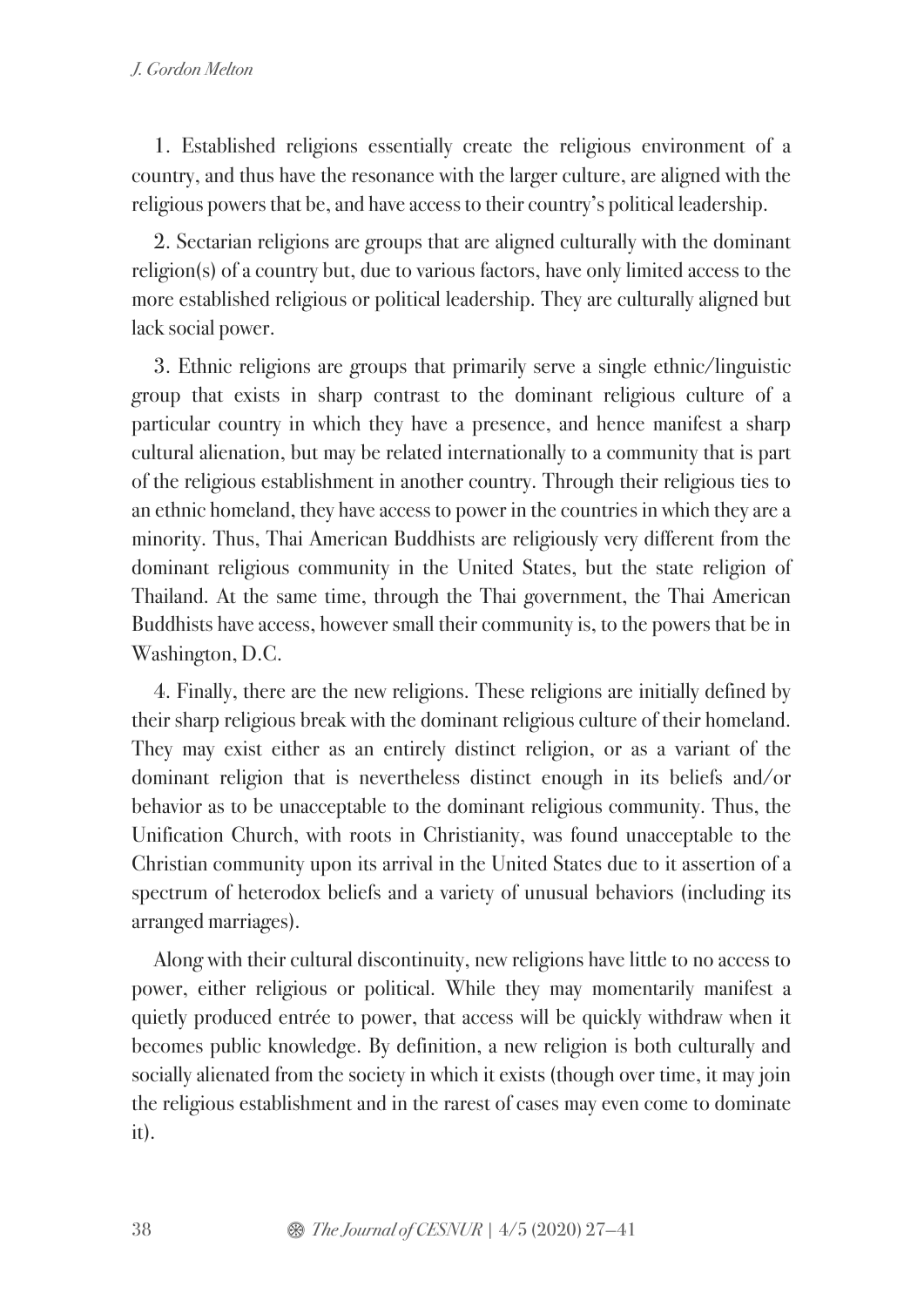1. Established religions essentially create the religious environment of a country, and thus have the resonance with the larger culture, are aligned with the religious powers that be, and have access to their country's political leadership.

2. Sectarian religions are groups that are aligned culturally with the dominant religion(s) of a country but, due to various factors, have only limited access to the more established religious or political leadership. They are culturally aligned but lack social power.

3. Ethnic religions are groups that primarily serve a single ethnic/linguistic group that exists in sharp contrast to the dominant religious culture of a particular country in which they have a presence, and hence manifest a sharp cultural alienation, but may be related internationally to a community that is part of the religious establishment in another country. Through their religious ties to an ethnic homeland, they have access to power in the countries in which they are a minority. Thus, Thai American Buddhists are religiously very different from the dominant religious community in the United States, but the state religion of Thailand. At the same time, through the Thai government, the Thai American Buddhists have access, however small their community is, to the powers that be in Washington, D.C.

4. Finally, there are the new religions. These religions are initially defined by their sharp religious break with the dominant religious culture of their homeland. They may exist either as an entirely distinct religion, or as a variant of the dominant religion that is nevertheless distinct enough in its beliefs and/or behavior as to be unacceptable to the dominant religious community. Thus, the Unification Church, with roots in Christianity, was found unacceptable to the Christian community upon its arrival in the United States due to it assertion of a spectrum of heterodox beliefs and a variety of unusual behaviors (including its arranged marriages).

Along with their cultural discontinuity, new religions have little to no access to power, either religious or political. While they may momentarily manifest a quietly produced entrée to power, that access will be quickly withdraw when it becomes public knowledge. By definition, a new religion is both culturally and socially alienated from the society in which it exists (though over time, it may join the religious establishment and in the rarest of cases may even come to dominate it).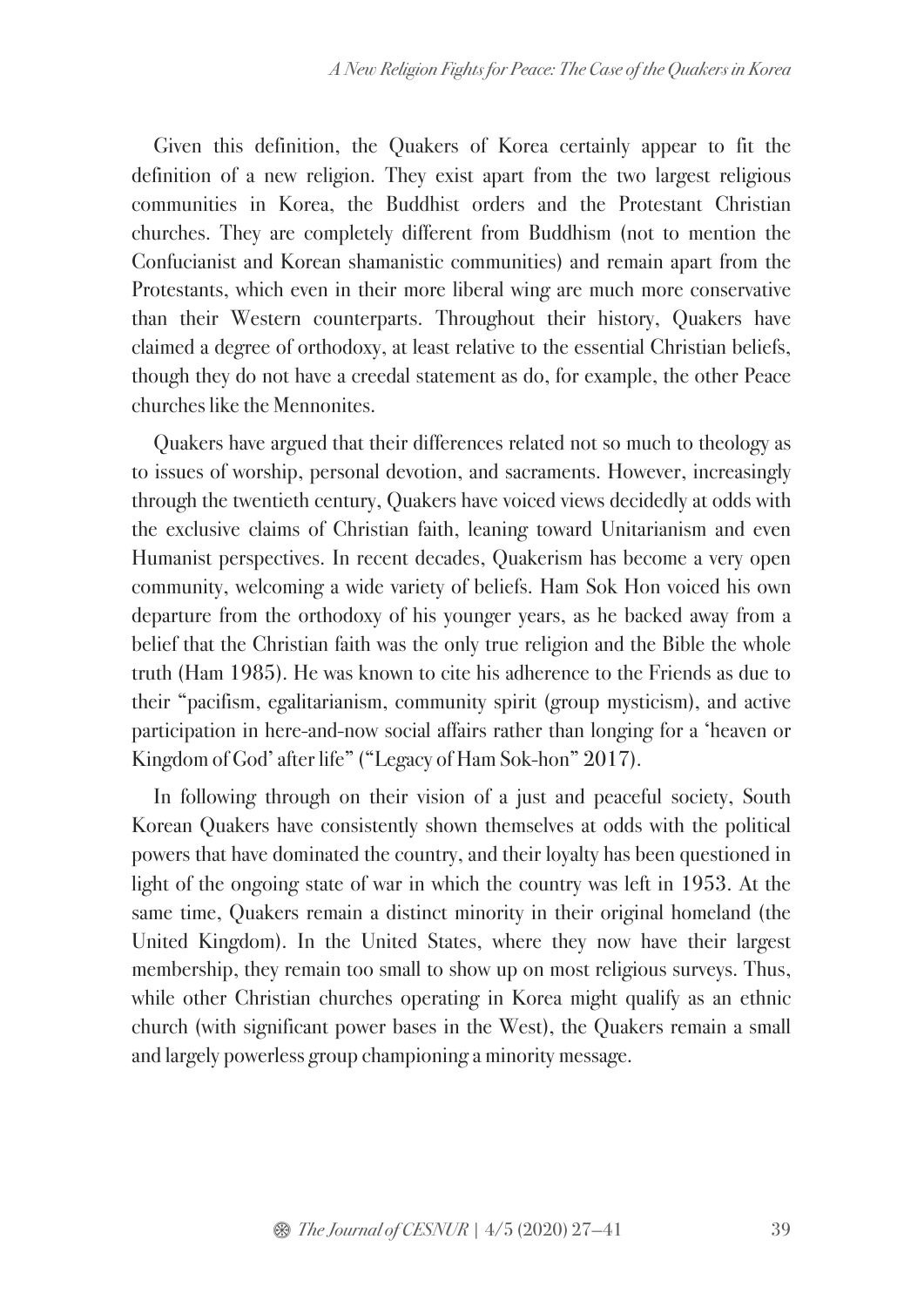Given this definition, the Quakers of Korea certainly appear to fit the definition of a new religion. They exist apart from the two largest religious communities in Korea, the Buddhist orders and the Protestant Christian churches. They are completely different from Buddhism (not to mention the Confucianist and Korean shamanistic communities) and remain apart from the Protestants, which even in their more liberal wing are much more conservative than their Western counterparts. Throughout their history, Quakers have claimed a degree of orthodoxy, at least relative to the essential Christian beliefs, though they do not have a creedal statement as do, for example, the other Peace churches like the Mennonites.

Quakers have argued that their differences related not so much to theology as to issues of worship, personal devotion, and sacraments. However, increasingly through the twentieth century, Quakers have voiced views decidedly at odds with the exclusive claims of Christian faith, leaning toward Unitarianism and even Humanist perspectives. In recent decades, Quakerism has become a very open community, welcoming a wide variety of beliefs. Ham Sok Hon voiced his own departure from the orthodoxy of his younger years, as he backed away from a belief that the Christian faith was the only true religion and the Bible the whole truth (Ham 1985). He was known to cite his adherence to the Friends as due to their "pacifism, egalitarianism, community spirit (group mysticism), and active participation in here-and-now social affairs rather than longing for a 'heaven or Kingdom of God' after life" ("Legacy of Ham Sok-hon" 2017).

In following through on their vision of a just and peaceful society, South Korean Quakers have consistently shown themselves at odds with the political powers that have dominated the country, and their loyalty has been questioned in light of the ongoing state of war in which the country was left in 1953. At the same time, Quakers remain a distinct minority in their original homeland (the United Kingdom). In the United States, where they now have their largest membership, they remain too small to show up on most religious surveys. Thus, while other Christian churches operating in Korea might qualify as an ethnic church (with significant power bases in the West), the Quakers remain a small and largely powerless group championing a minority message.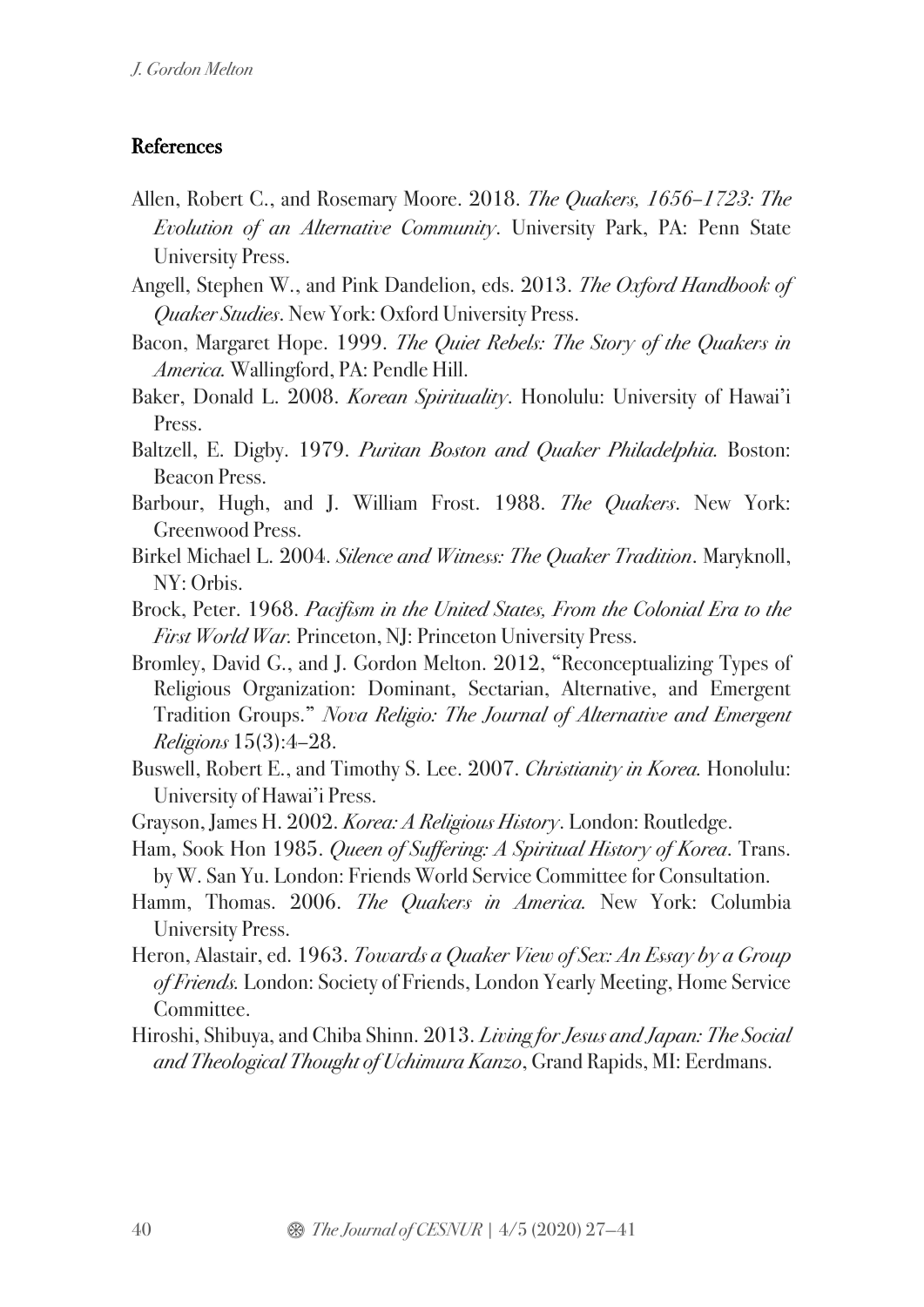### References

- Allen, Robert C., and Rosemary Moore. 2018. *The Quakers, 1656–1723: The Evolution of an Alternative Community*. University Park, PA: Penn State University Press.
- Angell, Stephen W., and Pink Dandelion, eds. 2013. *The Oxford Handbook of Quaker Studies*. New York: Oxford University Press.
- Bacon, Margaret Hope. 1999. *The Quiet Rebels: The Story of the Quakers in America.* Wallingford, PA: Pendle Hill.
- Baker, Donald L. 2008. *Korean Spirituality*. Honolulu: University of Hawai'i Press.
- Baltzell, E. Digby. 1979. *Puritan Boston and Quaker Philadelphia.* Boston: Beacon Press.
- Barbour, Hugh, and J. William Frost. 1988. *The Quakers*. New York: Greenwood Press.
- Birkel Michael L. 2004. *Silence and Witness: The Quaker Tradition*. Maryknoll, NY: Orbis.
- Brock, Peter. 1968. *Pacifism in the United States, From the Colonial Era to the First World War.* Princeton, NJ: Princeton University Press.
- Bromley, David G., and J. Gordon Melton. 2012, "Reconceptualizing Types of Religious Organization: Dominant, Sectarian, Alternative, and Emergent Tradition Groups." *Nova Religio: The Journal of Alternative and Emergent Religions* 15(3):4–28.
- Buswell, Robert E., and Timothy S. Lee. 2007. *Christianity in Korea.* Honolulu: University of Hawai'i Press.
- Grayson, James H. 2002. *Korea: A Religious History*. London: Routledge.
- Ham, Sook Hon 1985. *Queen of Suffering: A Spiritual History of Korea*. Trans. by W. San Yu. London: Friends World Service Committee for Consultation.
- Hamm, Thomas. 2006. *The Quakers in America.* New York: Columbia University Press.
- Heron, Alastair, ed. 1963. *Towards a Quaker View of Sex: An Essay by a Group of Friends.* London: Society of Friends, London Yearly Meeting, Home Service Committee.
- Hiroshi, Shibuya, and Chiba Shinn. 2013. *Living for Jesus and Japan: The Social and Theological Thought of Uchimura Kanzo*, Grand Rapids, MI: Eerdmans.